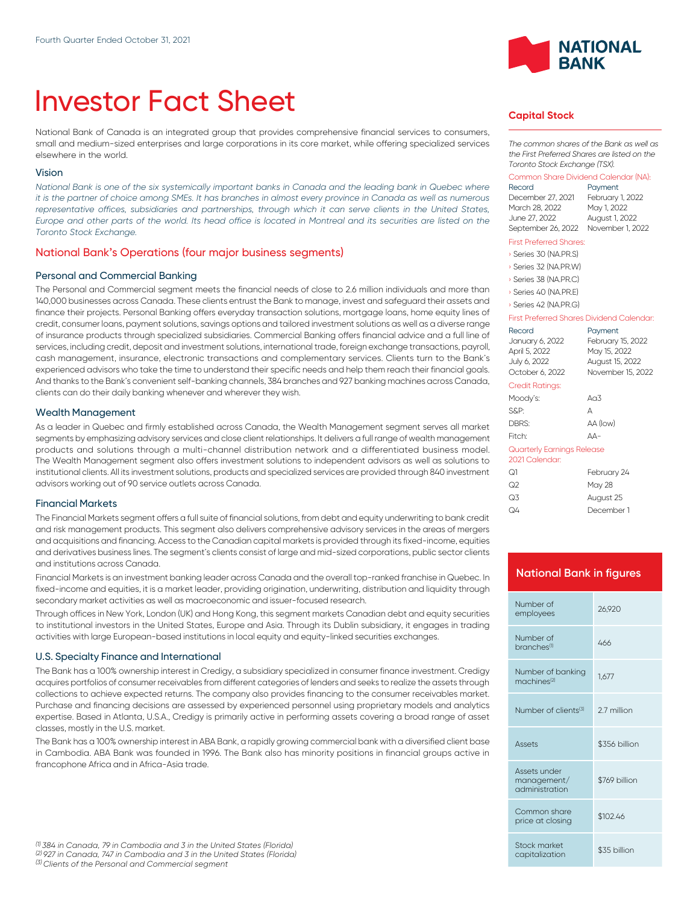# Investor Fact Sheet

National Bank of Canada is an integrated group that provides comprehensive financial services to consumers, small and medium-sized enterprises and large corporations in its core market, while offering specialized services elsewhere in the world.

#### Vision

*National Bank is one of the six systemically important banks in Canada and the leading bank in Quebec where it is the partner of choice among SMEs. It has branches in almost every province in Canada as well as numerous* representative offices, subsidiaries and partnerships, through which it can serve clients in the United States, *Europe and other parts of the world. Its head office is located in Montreal and its securities are listed on the Toronto Stock Exchange.*

## National Bank's Operations (four major business segments)

#### Personal and Commercial Banking

The Personal and Commercial segment meets the financial needs of close to 2.6 million individuals and more than 140,000 businesses across Canada. These clients entrust the Bank to manage, invest and safeguard their assets and finance their projects. Personal Banking offers everyday transaction solutions, mortgage loans, home equity lines of credit, consumer loans, payment solutions, savings options and tailored investment solutions as well as a diverse range of insurance products through specialized subsidiaries. Commercial Banking offers financial advice and a full line of services, including credit, deposit and investment solutions, international trade, foreign exchange transactions, payroll, cash management, insurance, electronic transactions and complementary services. Clients turn to the Bank's experienced advisors who take the time to understand their specific needs and help them reach their financial goals. And thanks to the Bank's convenient self-banking channels, 384 branches and 927 banking machines across Canada, clients can do their daily banking whenever and wherever they wish.

#### Wealth Management

As a leader in Quebec and firmly established across Canada, the Wealth Management segment serves all market segments by emphasizing advisory services and close client relationships. lt delivers a full range of wealth management products and solutions through a multi-channel distribution network and a differentiated business model. The Wealth Management segment also offers investment solutions to independent advisors as well as solutions to institutional clients. All its investment solutions, products and specialized services are provided through 840 investment advisors working out of 90 service outlets across Canada.

#### Financial Markets

The Financial Markets segment offers a full suite of financial solutions, from debt and equity underwriting to bank credit and risk management products. This segment also delivers comprehensive advisory services in the areas of mergers and acquisitions and financing. Access to the Canadian capital markets is provided through its fixed-income, equities and derivatives business lines. The segment's clients consist of large and mid-sized corporations, public sector clients and institutions across Canada.

Financial Markets is an investment banking leader across Canada and the overall top-ranked franchise in Quebec. In fixed-income and equities, it is a market leader, providing origination, underwriting, distribution and liquidity through secondary market activities as well as macroeconomic and issuer-focused research.

Through offices in New York, London (UK) and Hong Kong, this segment markets Canadian debt and equity securities to institutional investors in the United States, Europe and Asia. Through its Dublin subsidiary, it engages in trading activities with large European-based institutions in local equity and equity-linked securities exchanges.

#### U.S. Specialty Finance and International

The Bank has a 100% ownership interest in Credigy, a subsidiary specialized in consumer finance investment. Credigy acquires portfolios of consumer receivables from different categories of lenders and seeks to realize the assets through collections to achieve expected returns. The company also provides financing to the consumer receivables market. Purchase and financing decisions are assessed by experienced personnel using proprietary models and analytics expertise. Based in Atlanta, U.S.A., Credigy is primarily active in performing assets covering a broad range of asset classes, mostly in the U.S. market.

The Bank has a 100% ownership interest in ABA Bank, a rapidly growing commercial bank with a diversified client base in Cambodia. ABA Bank was founded in 1996. The Bank also has minority positions in financial groups active in francophone Africa and in Africa-Asia trade.



#### **Capital Stock**

*The common shares of the Bank as well as the First Preferred Shares are listed on the Toronto Stock Exchange (TSX).*

## Common Share Dividend Calendar (NA):

December 27, 2021 February 1, 2022 March 28, 2022 June 27, 2022 August 1, 2022 September 26, 2022 November 1, 2022

Payment

#### First Preferred Shares:

› Series 30 (NA.PR.S)

- › Series 32 (NA.PR.W)
- › Series 38 (NA.PR.C)
- › Series 40 (NA.PR.E)

#### › Series 42 (NA.PR.G)

#### First Preferred Shares Dividend Calendar:

|                                              | Record<br>January 6, 2022<br>April 5, 2022<br>July 6, 2022<br>October 6, 2022 | Payment<br>February 15, 2022<br>May 15, 2022<br>August 15, 2022<br>November 15, 2022 |
|----------------------------------------------|-------------------------------------------------------------------------------|--------------------------------------------------------------------------------------|
|                                              | <b>Credit Ratings:</b>                                                        |                                                                                      |
|                                              | Moody's:                                                                      | Ag3                                                                                  |
|                                              | S&P:                                                                          | А                                                                                    |
|                                              | DBRS:                                                                         | AA (low)                                                                             |
|                                              | Fitch:                                                                        | AA-                                                                                  |
| Quarterly Earnings Release<br>2021 Calendar: |                                                                               |                                                                                      |
|                                              | ೧1                                                                            | February 24                                                                          |
|                                              | ೧೭                                                                            | May 28                                                                               |
|                                              | Q3                                                                            | August 25                                                                            |

## **National Bank in figures**

Q4 December 1

| Number of<br>employees                        | 26.920        |
|-----------------------------------------------|---------------|
| Number of<br>branches <sup>(1)</sup>          | 466           |
| Number of banking<br>machines <sup>(2)</sup>  | 1.677         |
| Number of clients <sup>(3)</sup>              | 2.7 million   |
|                                               |               |
| Assets                                        | \$356 billion |
| Assets under<br>management/<br>administration | \$769 billion |
| Common share<br>price at closing              | \$102.46      |